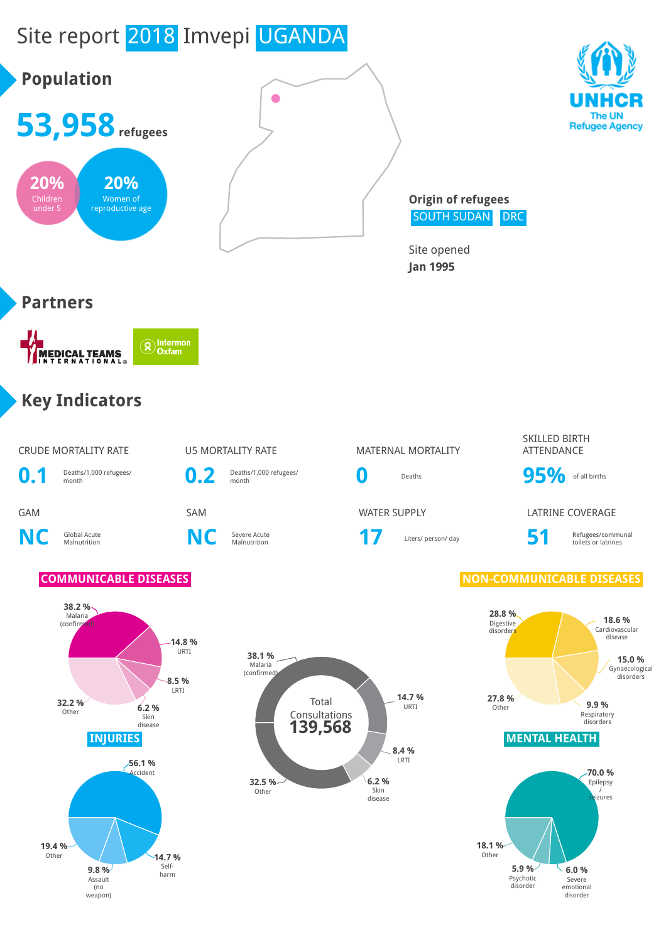

**6.0 %** Severe emotional disorder

**5.9 %** Psychotic disorder

**18.1 % Other** 

**14.7 %** Self-<br>harm harm **9.8 %** Assault **19.4 % Other** 

(no weapon)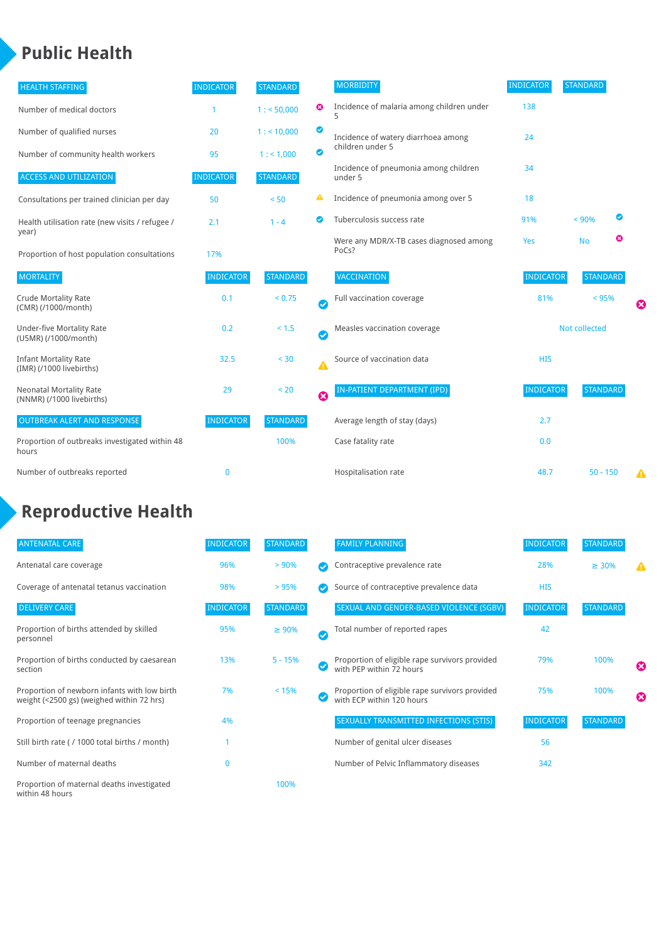### **Public Health**

| <b>HEALTH STAFFING</b>                                      | <b>INDICATOR</b> | <b>STANDARD</b> |                            | <b>MORBIDITY</b>                                 | <b>INDICATOR</b> | <b>STANDARD</b> |   |   |
|-------------------------------------------------------------|------------------|-----------------|----------------------------|--------------------------------------------------|------------------|-----------------|---|---|
| Number of medical doctors                                   |                  | 1: 50,000       | ☺                          | Incidence of malaria among children under        | 138              |                 |   |   |
| Number of qualified nurses                                  | 20               | $1:$ < 10,000   | ◉                          | Incidence of watery diarrhoea among              | 24               |                 |   |   |
| Number of community health workers                          | 95               | 1: 1,000        | $\bullet$                  | children under 5                                 |                  |                 |   |   |
| <b>ACCESS AND UTILIZATION</b>                               | <b>INDICATOR</b> | <b>STANDARD</b> |                            | Incidence of pneumonia among children<br>under 5 | 34               |                 |   |   |
| Consultations per trained clinician per day                 | 50               | < 50            | ▲                          | Incidence of pneumonia among over 5              | 18               |                 |   |   |
| Health utilisation rate (new visits / refugee /             | 2.1              | $1 - 4$         | $\bullet$                  | Tuberculosis success rate                        | 91%              | < 90%           | ◙ |   |
| year)<br>Proportion of host population consultations        | 17%              |                 |                            | Were any MDR/X-TB cases diagnosed among<br>PoCs? | Yes              | <b>No</b>       | ☺ |   |
| <b>MORTALITY</b>                                            | <b>INDICATOR</b> | <b>STANDARD</b> |                            | VACCINATION                                      | <b>INDICATOR</b> | <b>STANDARD</b> |   |   |
| <b>Crude Mortality Rate</b><br>(CMR) (/1000/month)          | 0.1              | < 0.75          | Ø                          | Full vaccination coverage                        | 81%              | < 95%           |   | ظ |
| <b>Under-five Mortality Rate</b><br>(U5MR) (/1000/month)    | 0.2              | < 1.5           | $\boldsymbol{\mathcal{S}}$ | Measles vaccination coverage                     | Not collected    |                 |   |   |
| <b>Infant Mortality Rate</b><br>(IMR) (/1000 livebirths)    | 32.5             | $30$            | $\blacktriangle$           | Source of vaccination data                       | <b>HIS</b>       |                 |   |   |
| <b>Neonatal Mortality Rate</b><br>(NNMR) (/1000 livebirths) | 29               | < 20            | $\boldsymbol{\Omega}$      | IN-PATIENT DEPARTMENT (IPD)                      | <b>INDICATOR</b> | <b>STANDARD</b> |   |   |
| <b>OUTBREAK ALERT AND RESPONSE</b>                          | <b>INDICATOR</b> | <b>STANDARD</b> |                            | Average length of stay (days)                    | 2.7              |                 |   |   |
| Proportion of outbreaks investigated within 48<br>hours     |                  | 100%            |                            | Case fatality rate                               | 0.0              |                 |   |   |
| Number of outbreaks reported                                | $\mathbf 0$      |                 |                            | Hospitalisation rate                             | 48.7             | $50 - 150$      |   | Δ |

# **Reproductive Health**

| <b>ANTENATAL CARE</b>                                                                     | <b>INDICATOR</b> | <b>STANDARD</b> |                            | <b>FAMILY PLANNING</b>                                                      | <b>INDICATOR</b> | <b>STANDARD</b> |                       |
|-------------------------------------------------------------------------------------------|------------------|-----------------|----------------------------|-----------------------------------------------------------------------------|------------------|-----------------|-----------------------|
| Antenatal care coverage                                                                   | 96%              | > 90%           |                            | Contraceptive prevalence rate                                               | 28%              | $\geq 30\%$     |                       |
| Coverage of antenatal tetanus vaccination                                                 | 98%              | >95%            |                            | Source of contraceptive prevalence data                                     | <b>HIS</b>       |                 |                       |
| <b>DELIVERY CARE</b>                                                                      | <b>INDICATOR</b> | <b>STANDARD</b> |                            | SEXUAL AND GENDER-BASED VIOLENCE (SGBV)                                     | <b>INDICATOR</b> | <b>STANDARD</b> |                       |
| Proportion of births attended by skilled<br>personnel                                     | 95%              | $\geq 90\%$     | $\boldsymbol{\mathcal{S}}$ | Total number of reported rapes                                              | 42               |                 |                       |
| Proportion of births conducted by caesarean<br>section                                    | 13%              | $5 - 15%$       |                            | Proportion of eligible rape survivors provided<br>with PEP within 72 hours  | 79%              | 100%            | $\boldsymbol{\omega}$ |
| Proportion of newborn infants with low birth<br>weight (<2500 gs) (weighed within 72 hrs) | 7%               | < 15%           |                            | Proportion of eligible rape survivors provided<br>with ECP within 120 hours | 75%              | 100%            | ☎                     |
| Proportion of teenage pregnancies                                                         | 4%               |                 |                            | SEXUALLY TRANSMITTED INFECTIONS (STIS)                                      | <b>INDICATOR</b> | <b>STANDARD</b> |                       |
| Still birth rate (/ 1000 total births / month)                                            |                  |                 |                            | Number of genital ulcer diseases                                            | 56               |                 |                       |
| Number of maternal deaths                                                                 | $\mathbf{0}$     |                 |                            | Number of Pelvic Inflammatory diseases                                      | 342              |                 |                       |
| Proportion of maternal deaths investigated<br>within 48 hours                             |                  | 100%            |                            |                                                                             |                  |                 |                       |